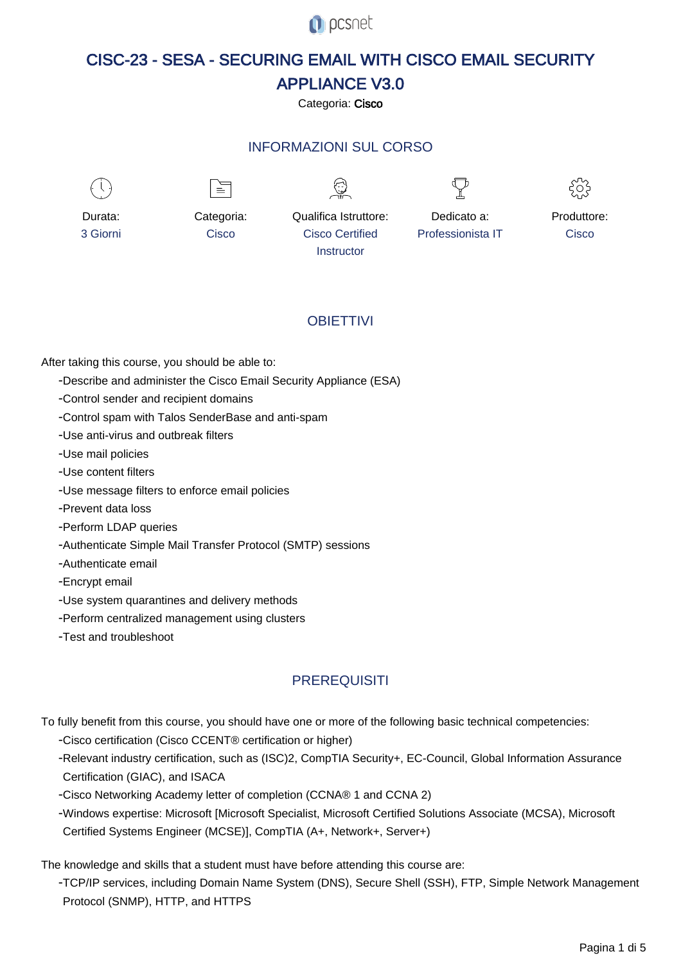**O** pcsnet

# CISC-23 - SESA - SECURING EMAIL WITH CISCO EMAIL SECURITY APPLIANCE V3.0

Categoria: Cisco

## INFORMAZIONI SUL CORSO



Durata: 3 Giorni

Categoria: **Cisco** 

 $\equiv$ 



Qualifica Istruttore: Cisco Certified

Dedicato a: Professionista IT



Produttore: **Cisco** 

## **OBIFTTIVI**

**Instructor** 

After taking this course, you should be able to:

- Describe and administer the Cisco Email Security Appliance (ESA)
- Control sender and recipient domains
- Control spam with Talos SenderBase and anti-spam
- Use anti-virus and outbreak filters
- Use mail policies
- Use content filters
- Use message filters to enforce email policies
- Prevent data loss
- Perform LDAP queries
- Authenticate Simple Mail Transfer Protocol (SMTP) sessions
- Authenticate email
- Encrypt email
- Use system quarantines and delivery methods
- Perform centralized management using clusters
- Test and troubleshoot

## **PREREQUISITI**

- To fully benefit from this course, you should have one or more of the following basic technical competencies:
	- Cisco certification (Cisco CCENT® certification or higher)
	- Relevant industry certification, such as (ISC)2, CompTIA Security+, EC-Council, Global Information Assurance Certification (GIAC), and ISACA
	- Cisco Networking Academy letter of completion (CCNA® 1 and CCNA 2)
	- Windows expertise: Microsoft [Microsoft Specialist, Microsoft Certified Solutions Associate (MCSA), Microsoft Certified Systems Engineer (MCSE)], CompTIA (A+, Network+, Server+)

The knowledge and skills that a student must have before attending this course are:

- TCP/IP services, including Domain Name System (DNS), Secure Shell (SSH), FTP, Simple Network Management Protocol (SNMP), HTTP, and HTTPS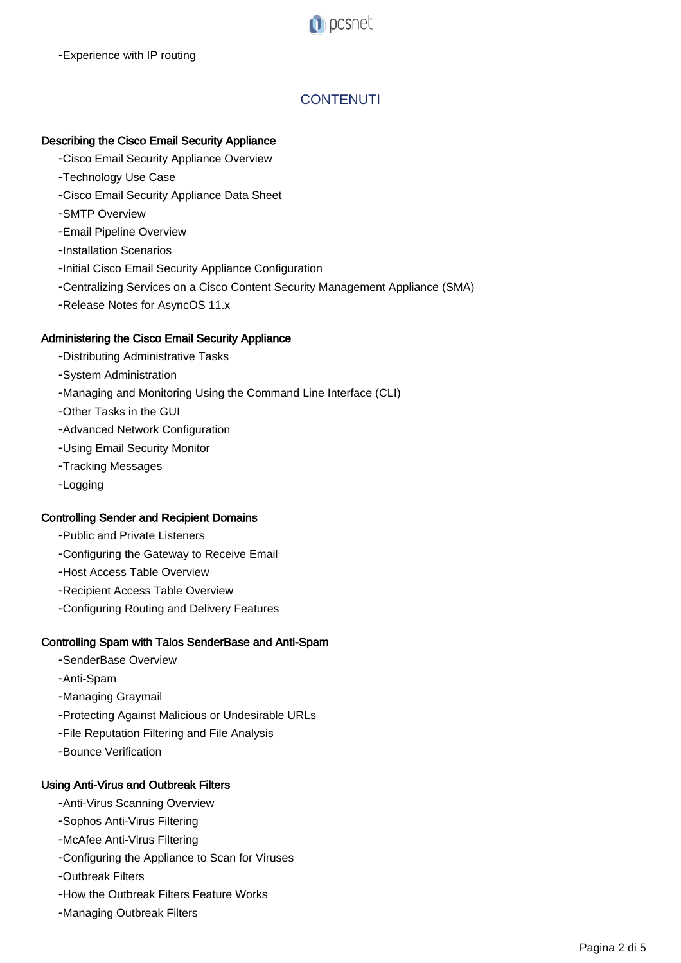

## **CONTENUTI**

## Describing the Cisco Email Security Appliance

- Cisco Email Security Appliance Overview
- Technology Use Case
- Cisco Email Security Appliance Data Sheet
- SMTP Overview
- Email Pipeline Overview
- Installation Scenarios
- Initial Cisco Email Security Appliance Configuration
- Centralizing Services on a Cisco Content Security Management Appliance (SMA)
- Release Notes for AsyncOS 11.x

## Administering the Cisco Email Security Appliance

- Distributing Administrative Tasks
- System Administration
- Managing and Monitoring Using the Command Line Interface (CLI)
- Other Tasks in the GUI
- Advanced Network Configuration
- Using Email Security Monitor
- Tracking Messages
- Logging

## Controlling Sender and Recipient Domains

- Public and Private Listeners
- Configuring the Gateway to Receive Email
- Host Access Table Overview
- Recipient Access Table Overview
- Configuring Routing and Delivery Features

## Controlling Spam with Talos SenderBase and Anti-Spam

- SenderBase Overview
- Anti-Spam
- Managing Graymail
- Protecting Against Malicious or Undesirable URLs
- File Reputation Filtering and File Analysis
- Bounce Verification

## Using Anti-Virus and Outbreak Filters

- Anti-Virus Scanning Overview
- Sophos Anti-Virus Filtering
- McAfee Anti-Virus Filtering
- Configuring the Appliance to Scan for Viruses
- Outbreak Filters
- How the Outbreak Filters Feature Works
- Managing Outbreak Filters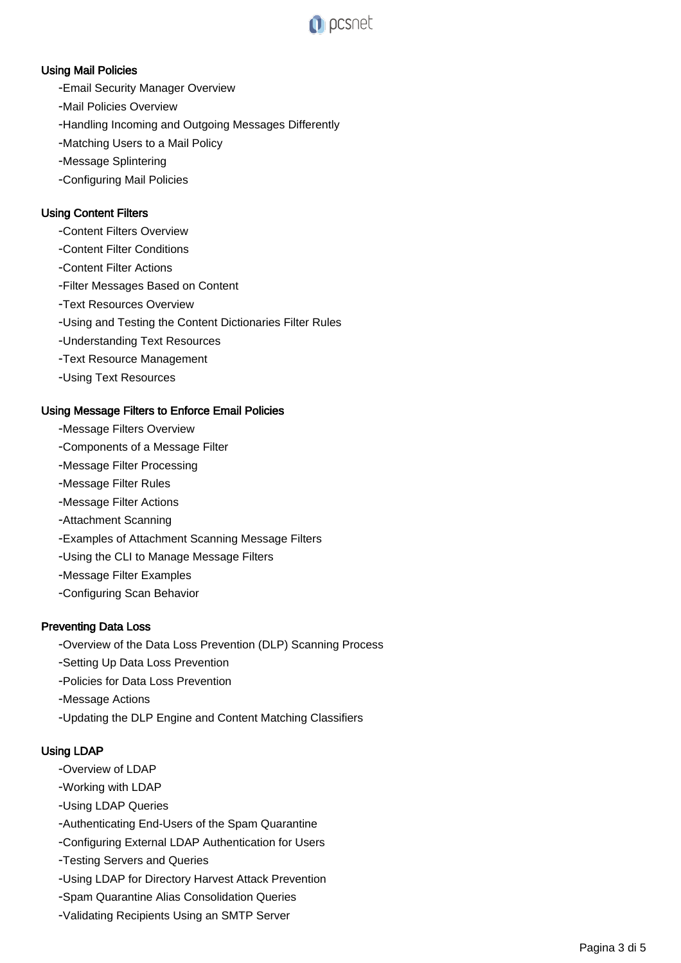

## Using Mail Policies

- Email Security Manager Overview
- Mail Policies Overview
- Handling Incoming and Outgoing Messages Differently
- Matching Users to a Mail Policy
- Message Splintering
- Configuring Mail Policies

## Using Content Filters

- Content Filters Overview
- Content Filter Conditions
- Content Filter Actions
- Filter Messages Based on Content
- Text Resources Overview
- Using and Testing the Content Dictionaries Filter Rules
- Understanding Text Resources
- Text Resource Management
- Using Text Resources

#### Using Message Filters to Enforce Email Policies

- Message Filters Overview
- Components of a Message Filter
- Message Filter Processing
- Message Filter Rules
- Message Filter Actions
- Attachment Scanning
- Examples of Attachment Scanning Message Filters
- Using the CLI to Manage Message Filters
- Message Filter Examples
- Configuring Scan Behavior

#### Preventing Data Loss

- Overview of the Data Loss Prevention (DLP) Scanning Process
- Setting Up Data Loss Prevention
- Policies for Data Loss Prevention
- Message Actions
- Updating the DLP Engine and Content Matching Classifiers

### Using LDAP

- Overview of LDAP
- Working with LDAP
- Using LDAP Queries
- Authenticating End-Users of the Spam Quarantine
- Configuring External LDAP Authentication for Users
- Testing Servers and Queries
- Using LDAP for Directory Harvest Attack Prevention
- Spam Quarantine Alias Consolidation Queries
- Validating Recipients Using an SMTP Server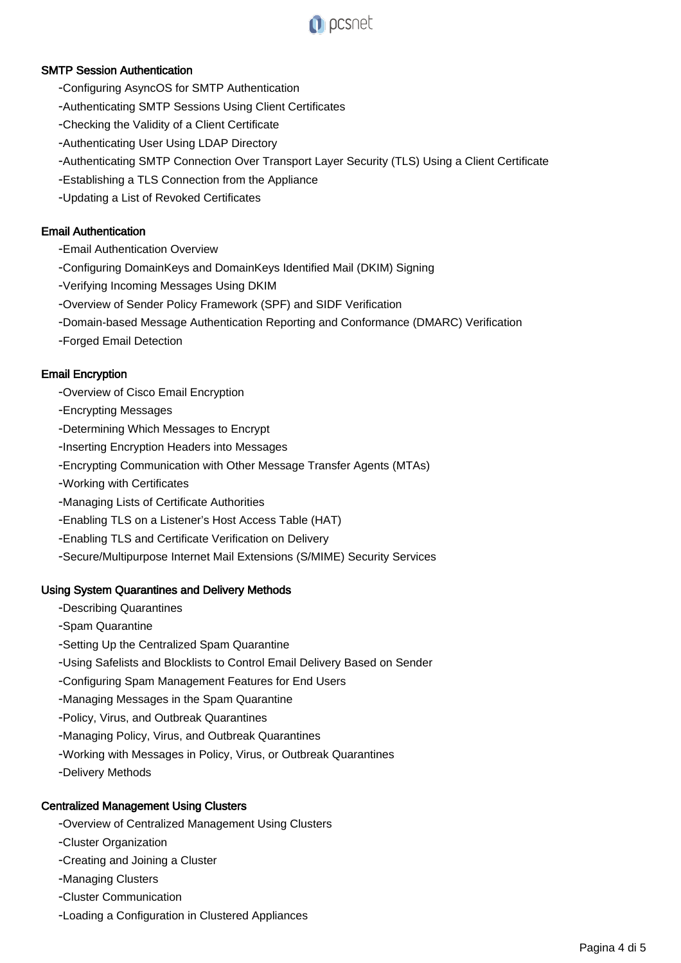

## SMTP Session Authentication

- Configuring AsyncOS for SMTP Authentication
- Authenticating SMTP Sessions Using Client Certificates
- Checking the Validity of a Client Certificate
- Authenticating User Using LDAP Directory
- Authenticating SMTP Connection Over Transport Layer Security (TLS) Using a Client Certificate
- Establishing a TLS Connection from the Appliance
- Updating a List of Revoked Certificates

## Email Authentication

- Email Authentication Overview
- Configuring DomainKeys and DomainKeys Identified Mail (DKIM) Signing
- Verifying Incoming Messages Using DKIM
- Overview of Sender Policy Framework (SPF) and SIDF Verification
- Domain-based Message Authentication Reporting and Conformance (DMARC) Verification
- Forged Email Detection

## Email Encryption

- Overview of Cisco Email Encryption
- Encrypting Messages
- Determining Which Messages to Encrypt
- Inserting Encryption Headers into Messages
- Encrypting Communication with Other Message Transfer Agents (MTAs)
- Working with Certificates
- Managing Lists of Certificate Authorities
- Enabling TLS on a Listener's Host Access Table (HAT)
- Enabling TLS and Certificate Verification on Delivery
- Secure/Multipurpose Internet Mail Extensions (S/MIME) Security Services

### Using System Quarantines and Delivery Methods

- Describing Quarantines
- Spam Quarantine
- Setting Up the Centralized Spam Quarantine
- Using Safelists and Blocklists to Control Email Delivery Based on Sender
- Configuring Spam Management Features for End Users
- Managing Messages in the Spam Quarantine
- Policy, Virus, and Outbreak Quarantines
- Managing Policy, Virus, and Outbreak Quarantines
- Working with Messages in Policy, Virus, or Outbreak Quarantines

- Delivery Methods

### Centralized Management Using Clusters

- Overview of Centralized Management Using Clusters
- Cluster Organization
- Creating and Joining a Cluster
- Managing Clusters
- Cluster Communication
- Loading a Configuration in Clustered Appliances